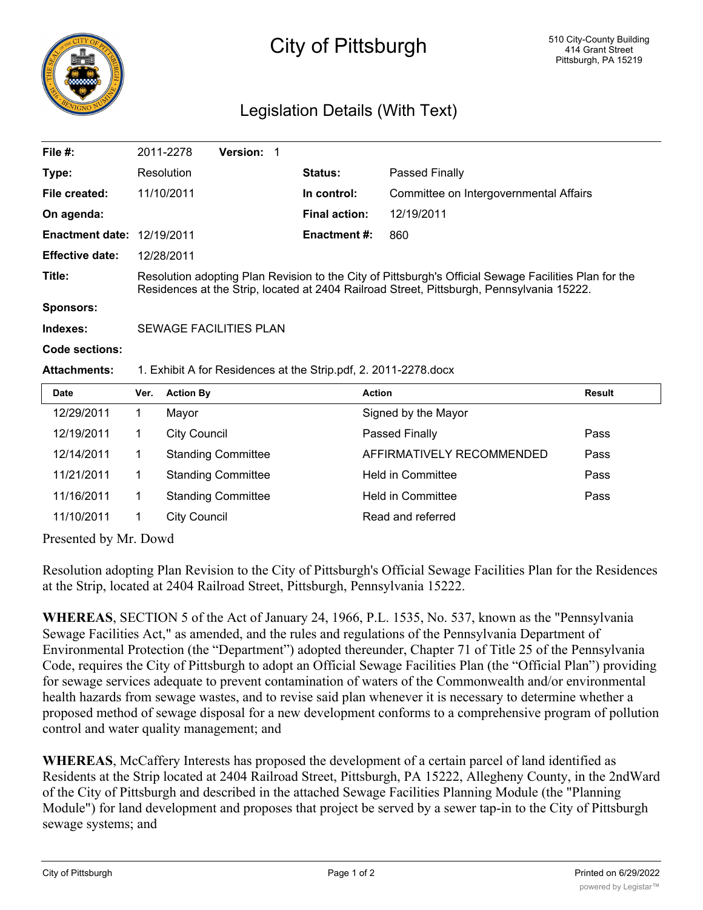

## City of Pittsburgh

## Legislation Details (With Text)

| File #:                           |                                                                                                                                                                                                    | 2011-2278<br><b>Version: 1</b> |  |                      |                                        |               |
|-----------------------------------|----------------------------------------------------------------------------------------------------------------------------------------------------------------------------------------------------|--------------------------------|--|----------------------|----------------------------------------|---------------|
| Type:                             |                                                                                                                                                                                                    | Resolution                     |  | <b>Status:</b>       | Passed Finally                         |               |
| File created:                     |                                                                                                                                                                                                    | 11/10/2011                     |  | In control:          | Committee on Intergovernmental Affairs |               |
| On agenda:                        |                                                                                                                                                                                                    |                                |  | <b>Final action:</b> | 12/19/2011                             |               |
| <b>Enactment date: 12/19/2011</b> |                                                                                                                                                                                                    |                                |  | <b>Enactment #:</b>  | 860                                    |               |
| <b>Effective date:</b>            |                                                                                                                                                                                                    | 12/28/2011                     |  |                      |                                        |               |
| Title:                            | Resolution adopting Plan Revision to the City of Pittsburgh's Official Sewage Facilities Plan for the<br>Residences at the Strip, located at 2404 Railroad Street, Pittsburgh, Pennsylvania 15222. |                                |  |                      |                                        |               |
| Sponsors:                         |                                                                                                                                                                                                    |                                |  |                      |                                        |               |
| Indexes:                          | SEWAGE FACILITIES PLAN                                                                                                                                                                             |                                |  |                      |                                        |               |
| Code sections:                    |                                                                                                                                                                                                    |                                |  |                      |                                        |               |
| <b>Attachments:</b>               | 1. Exhibit A for Residences at the Strip.pdf, 2. 2011-2278.docx                                                                                                                                    |                                |  |                      |                                        |               |
| <b>Date</b>                       | Ver.                                                                                                                                                                                               | <b>Action By</b>               |  |                      | <b>Action</b>                          | <b>Result</b> |
| 12/29/2011                        | 1                                                                                                                                                                                                  | Mayor                          |  |                      | Signed by the Mayor                    |               |
| 12/19/2011                        | 1                                                                                                                                                                                                  | <b>City Council</b>            |  |                      | Passed Finally                         | Pass          |
| 12/14/2011                        | 1                                                                                                                                                                                                  | <b>Standing Committee</b>      |  |                      | AFFIRMATIVELY RECOMMENDED              | Pass          |
| 11/21/2011                        | 1                                                                                                                                                                                                  | <b>Standing Committee</b>      |  |                      | <b>Held in Committee</b>               | Pass          |
| 11/16/2011                        | 1                                                                                                                                                                                                  | <b>Standing Committee</b>      |  |                      | <b>Held in Committee</b>               | Pass          |
| 11/10/2011                        | 1                                                                                                                                                                                                  | <b>City Council</b>            |  |                      | Read and referred                      |               |

Presented by Mr. Dowd

Resolution adopting Plan Revision to the City of Pittsburgh's Official Sewage Facilities Plan for the Residences at the Strip, located at 2404 Railroad Street, Pittsburgh, Pennsylvania 15222.

**WHEREAS**, SECTION 5 of the Act of January 24, 1966, P.L. 1535, No. 537, known as the "Pennsylvania Sewage Facilities Act," as amended, and the rules and regulations of the Pennsylvania Department of Environmental Protection (the "Department") adopted thereunder, Chapter 71 of Title 25 of the Pennsylvania Code, requires the City of Pittsburgh to adopt an Official Sewage Facilities Plan (the "Official Plan") providing for sewage services adequate to prevent contamination of waters of the Commonwealth and/or environmental health hazards from sewage wastes, and to revise said plan whenever it is necessary to determine whether a proposed method of sewage disposal for a new development conforms to a comprehensive program of pollution control and water quality management; and

**WHEREAS**, McCaffery Interests has proposed the development of a certain parcel of land identified as Residents at the Strip located at 2404 Railroad Street, Pittsburgh, PA 15222, Allegheny County, in the 2ndWard of the City of Pittsburgh and described in the attached Sewage Facilities Planning Module (the "Planning Module") for land development and proposes that project be served by a sewer tap-in to the City of Pittsburgh sewage systems; and